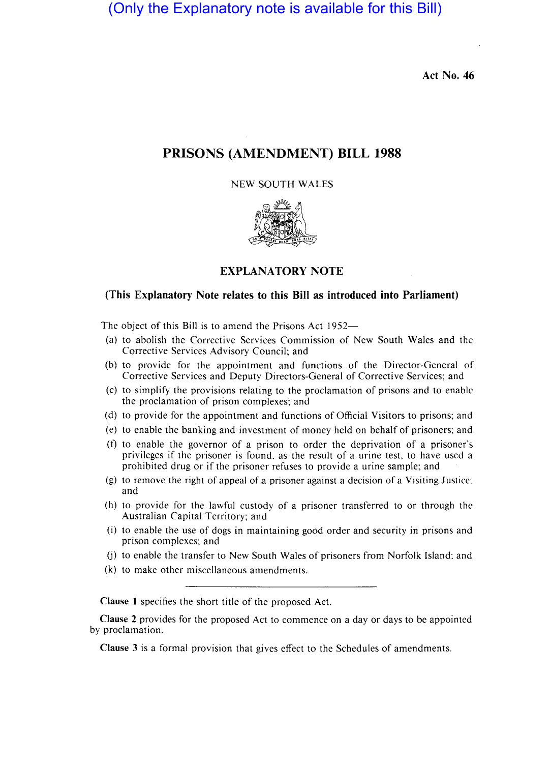(Only the Explanatory note is available for this Bill)

Act No. 46

# **PRISONS** (AMENDMENT) **BILL 1988**

NEW SOUTH WALES



# EXPLANATORY NOTE

# (This Explanatory Note relates to this **Bill** as introduced into Parliament)

The object of this Bill is to amend the Prisons Act 1952-

- (a) to abolish the Corrective Services Commission of New South Wales and thc Corrective Services Advisory Council; and
- (b) to provide for the appointment and functions of the Director-General of Corrective Services and Deputy Directors-General of Corrective Services; and
- (c) to simplify the provisions relating to the proclamation of prisons and to enable the proclamation of prison complexes; and
- (d) to provide for the appointment and functions of Official Visitors to prisons; and
- (e) to enable the banking and investment of money held on behalf of prisoners; and
- (f) to enable the governor of a prison to order the deprivation of a prisoner's privileges if the prisoner is found, as the result of a urine test, to have used a prohibited drug or if the prisoner refuses to provide a urine sample; and
- (g) to remove the right of appeal of a prisoner against a decision of a Visiting Justice; and
- (h) to provide for the lawful custody of a prisoner transferred to or through the Australian Capital Territory; and
- (i) to enable the use of dogs in maintaining good order and security in prisons and prison complexes; and
- (j) to enable the transfer to New South Wales of prisoners from Norfolk Island; and
- (k) to make other miscellaneous amendments.

Clause 1 specifies the short title of the proposed Act.

Clause 2 provides for the proposed Act to commence on a day or days to be appointed by proclamation.

Clause 3 is a formal provision that gives effect to the Schedules of amendments.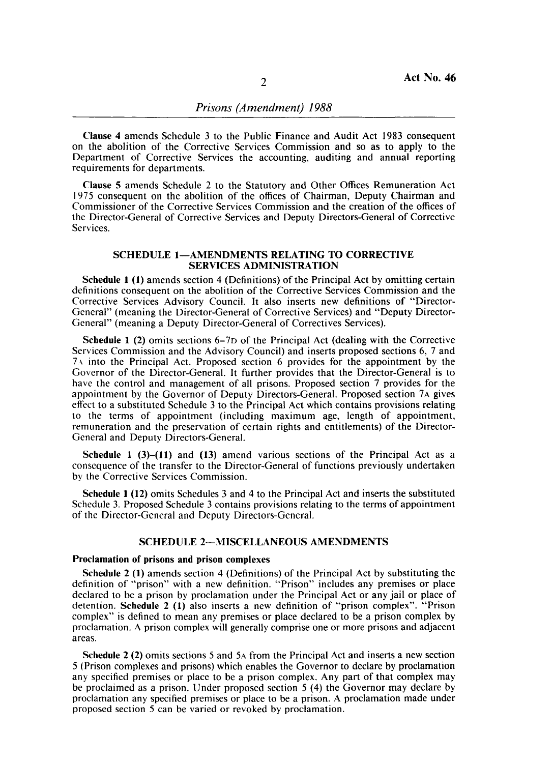Clause 4 amends Schedule 3 to the Public Finance and Audit Act 1983 consequent on the abolition of the Corrective Services Commission and so as to apply to the Department of Corrective Services the accounting, auditing and annual reporting requirements for departments.

Clause 5 amends Schedule 2 to the Statutory and Other Offices Remuneration Act 1975 consequent on the abolition of the offices of Chairman, Deputy Chairman and Commissioner of the Corrective Services Commission and the creation of the offices of the Director-General of Corrective Services and Deputy Directors-General of Corrective Services.

# SCHEDULE 1—AMENDMENTS RELATING TO CORRECTIVE SERVICES ADMINISTRATION

Schedule 1 (1) amends section 4 (Definitions) of the Principal Act by omitting certain definitions consequent on the abolition of the Corrective Services Commission and the Corrective Services Advisory Council. It also inserts new definitions of "Director-General" (meaning the Director-General of Corrective Services) and "Deputy Director-General" (meaning a Deputy Director-General of Correctives Services).

Schedule 1 (2) omits sections 6-7D of the Principal Act (dealing with the Corrective Services Commission and the Advisory Council) and inserts proposed sections 6, 7 and 7\ into the Principal Act. Proposed section 6 provides for the appointment by the Governor of the Director-General. It further provides that the Director-General is to have the control and management of all prisons. Proposed section 7 provides for the appointment by the Governor of Deputy Directors-General. Proposed section 7A gives effect to a substituted Schedule 3 to the Principal Act which contains provisions relating to the terms of appointment (including maximum age, length of appointment, remuneration and the preservation of certain rights and entitlements) of the Director-General and Deputy Directors-General.

Schedule 1  $(3)-(11)$  and  $(13)$  amend various sections of the Principal Act as a consequence of the transfer to the Director-General of functions previously undertaken by the Corrective Services Commission.

Schedule 1 (12) omits Schedules 3 and 4 to the Principal Act and inserts the substituted Schedule 3. Proposed Schedule 3 contains provisions relating to the terms of appointment of the Director-General and Deputy Directors-General.

# SCHEDULE 2-MISCELLANEOUS AMENDMENTS

#### Proclamation of prisons and prison complexes

Schedule 2 (1) amends section 4 (Definitions) of the Principal Act by substituting the definition of "prison" with a new definition. "Prison" includes any premises or place declared to be a prison by proclamation under the Principal Act or any jail or place of detention. Schedule 2 (1) also inserts a new definition of "prison complex". "Prison complex" is defined to mean any premises or place declared to be a prison complex by proclamation. A prison complex will generally comprise one or more prisons and adjacent areas.

Schedule 2 (2) omits sections 5 and 5A from the Principal Act and inserts a new section 5 (Prison complexes and prisons) which enables the Governor to declare by proclamation any specified premises or place to be a prison complex. Any part of that complex may be proclaimed as a prison. Under proposed section 5 (4) the Governor may declare by proclamation any specified premises or place to be a prison. A proclamation made under proposed section 5 can be varied or revoked by proclamation.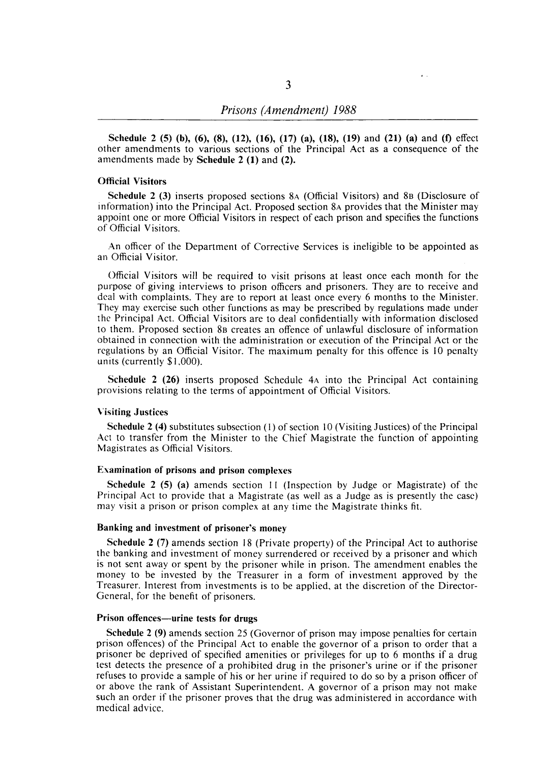Schedule 2 (5) (b), (6), (8), (12), (16), (17) (a), (18), (19) and (21) (a) and (f) effect other amendments to various sections of the Principal Act as a consequence of the amendments made by Schedule 2 (1) and (2).

#### Official Visitors

Schedule 2 (3) inserts proposed sections 8A (Official Visitors) and 8B (Disclosure of information) into the Principal Act. Proposed section 8A provides that the Minister may appoint one or more Official Visitors in respect of each prison and specifies the functions of Official Visitors.

An officer of the Department of Corrective Services is ineligible to be appointed as an Official Visitor.

Official Visitors will be required to visit prisons at least once each month for the purpose of giving interviews to prison officers and prisoners. They are to receive and deal with complaints. They are to report at least once every 6 months to the Minister. They may exercise such other functions as may be prescribed by regulations made under the Principal Act. Official Visitors are to deal confidentially with information disclosed to them. Proposed section 8B creates an offence of unlawful disclosure of information obtained in connection with the administration or execution of the Principal Act or the regulations by an Official Visitor. The maximum penalty for this offence is IO penalty units (currently \$1,000).

Schedule 2 (26) inserts proposed Schedule 4A into the Principal Act containing provisions relating to the terms of appointment of Official Visitors.

### Visiting Justices

Schedule 2 (4) substitutes subsection (I) of section IO (Visiting Justices) of the Principal Act to transfer from the Minister to the Chief Magistrate the function of appointing Magistrates as Official Visitors.

#### Examination of prisons and prison complexes

Schedule 2 (5) (a) amends section II (Inspection by Judge or Magistrate) of the Principal Act to provide that a Magistrate (as well as a Judge as is presently the casc) may visit a prison or prison complex at any time the Magistrate thinks fit.

# Banking and investment of prisoner's money

Schedule 2 (7) amends section 18 (Private property) of the Principal Act to authorise the banking and investment of money surrendered or received by a prisoner and which is not sent away or spent by the prisoner while in prison. The amendment enables the money to be invested by the Treasurer in a form of investment approved by the Treasurer. Interest from investments is to be applied, at the discretion of the Director-General, for the benefit of prisoners.

# Prison offences-urine tests for drugs

Schedule 2 (9) amends section 25 (Governor of prison may impose penalties for certain prison offences) of the Principal Act to enable the governor of a prison to order that a prisoner be deprived of specified amenities or privileges for up to 6 months if a drug test detects the presence of a prohibited drug in the prisoner's urine or if the prisoner refuses to provide a sample of his or her urine if required to do so by a prison officer of or above the rank of Assistant Superintendent. A governor of a prison may not make such an order if the prisoner proves that the drug was administered in accordance with medical advice.

 $\epsilon$  .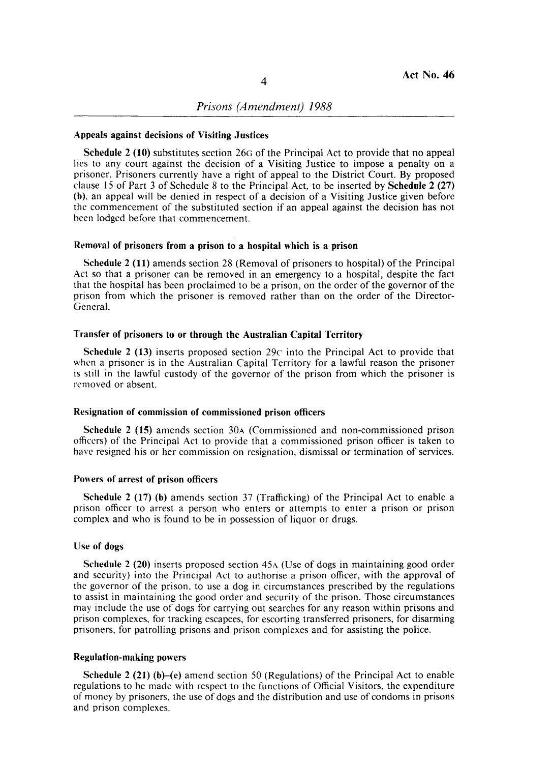# *Prisons (Amendment) 1988*

## Appeals against decisions of Visiting Justices

Schedule 2 (10) substitutes section 26G of the Principal Act to provide that no appeal lies to any court against the decision of a Visiting Justice to impose a penalty on a prisoner. Prisoners currently have a right of appeal to the District Court. By proposed clause 15 of Part 3 of Schedule 8 to the Principal Act, to be inserted by Schedule 2 (27) (b), an appeal will be denied in respect of a decision of a Visiting Justice given before the commencement of the substituted section if an appeal against the decision has not been lodged before that commencement.

#### Removal of prisoners from a prison to a hospital which is a prison

Schedule 2 (11) amends section 28 (Removal of prisoners to hospital) of the Principal Act so that a prisoner can be removed in an emergency to a hospital, despite the fact that the hospital has been proclaimed to be a prison, on the order of the governor of the prison from which the prisoner is removed rather than on the order of the Director-General.

#### Transfer of prisoners to or through the Australian Capital Territory

Schedule 2 (13) inserts proposed section 29 $\epsilon$  into the Principal Act to provide that when a prisoner is in the Australian Capital Territory for a lawful reason the prisoner is still in the lawful custody of the governor of the prison from which the prisoner is removed or absent.

#### Resignation of commission of commissioned prison officers

Schedule 2 (15) amends section 30A (Commissioned and non-commissioned prison officers) of the Principal Act to provide that a commissioned prison officer is taken to have resigned his or her commission on resignation, dismissal or termination of services.

#### Powers of arrest of prison officers

Schedule 2 (17) (b) amends section 37 (Trafficking) of the Principal Act to enable a prison officer to arrest a person who enters or attempts to enter a prison or prison complex and who is found to be in possession of liquor or drugs.

#### Use of dogs

Schedule 2 (20) inserts proposed section 45A (Use of dogs in maintaining good order and security) into the Principal Act to authorise a prison officer, with the approval of the governor of the prison, to use a dog in circumstances prescribed by the regulations to assist in maintaining the good order and security of the prison. Those circumstances may include the use of dogs for carrying out searches for any reason within prisons and prison complexes, for tracking escapees, for escorting transferred prisoners, for disarming prisoners, for patrolling prisons and prison complexes and for assisting the police.

### Regulation-making powers

Schedule 2 (21) (b)–(e) amend section 50 (Regulations) of the Principal Act to enable regulations to be made with respect to the functions of Official Visitors, the expenditure of money by prisoners, the use of dogs and the distribution and use of condoms in prisons and prison complexes.